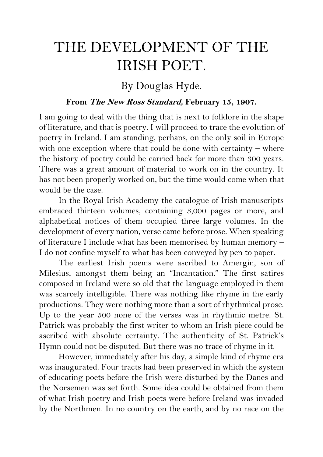## THE DEVELOPMENT OF THE IRISH POET.

## By Douglas Hyde.

## **From The New Ross Standard, February 15, 1907.**

I am going to deal with the thing that is next to folklore in the shape of literature, and that is poetry. I will proceed to trace the evolution of poetry in Ireland. I am standing, perhaps, on the only soil in Europe with one exception where that could be done with certainty – where the history of poetry could be carried back for more than 300 years. There was a great amount of material to work on in the country. It has not been properly worked on, but the time would come when that would be the case.

In the Royal Irish Academy the catalogue of Irish manuscripts embraced thirteen volumes, containing 3,000 pages or more, and alphabetical notices of them occupied three large volumes. In the development of every nation, verse came before prose. When speaking of literature I include what has been memorised by human memory – I do not confine myself to what has been conveyed by pen to paper.

The earliest Irish poems were ascribed to Amergin, son of Milesius, amongst them being an "Incantation." The first satires composed in Ireland were so old that the language employed in them was scarcely intelligible. There was nothing like rhyme in the early productions. They were nothing more than a sort of rhythmical prose. Up to the year 500 none of the verses was in rhythmic metre. St. Patrick was probably the first writer to whom an Irish piece could be ascribed with absolute certainty. The authenticity of St. Patrick's Hymn could not be disputed. But there was no trace of rhyme in it.

However, immediately after his day, a simple kind of rhyme era was inaugurated. Four tracts had been preserved in which the system of educating poets before the Irish were disturbed by the Danes and the Norsemen was set forth. Some idea could be obtained from them of what Irish poetry and Irish poets were before Ireland was invaded by the Northmen. In no country on the earth, and by no race on the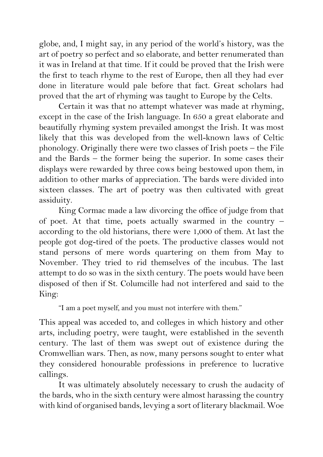globe, and, I might say, in any period of the world's history, was the art of poetry so perfect and so elaborate, and better renumerated than it was in Ireland at that time. If it could be proved that the Irish were the first to teach rhyme to the rest of Europe, then all they had ever done in literature would pale before that fact. Great scholars had proved that the art of rhyming was taught to Europe by the Celts.

Certain it was that no attempt whatever was made at rhyming, except in the case of the Irish language. In 650 a great elaborate and beautifully rhyming system prevailed amongst the Irish. It was most likely that this was developed from the well-known laws of Celtic phonology. Originally there were two classes of Irish poets – the File and the Bards – the former being the superior. In some cases their displays were rewarded by three cows being bestowed upon them, in addition to other marks of appreciation. The bards were divided into sixteen classes. The art of poetry was then cultivated with great assiduity.

King Cormac made a law divorcing the office of judge from that of poet. At that time, poets actually swarmed in the country – according to the old historians, there were 1,000 of them. At last the people got dog-tired of the poets. The productive classes would not stand persons of mere words quartering on them from May to November. They tried to rid themselves of the incubus. The last attempt to do so was in the sixth century. The poets would have been disposed of then if St. Columcille had not interfered and said to the King:

"I am a poet myself, and you must not interfere with them."

This appeal was acceded to, and colleges in which history and other arts, including poetry, were taught, were established in the seventh century. The last of them was swept out of existence during the Cromwellian wars. Then, as now, many persons sought to enter what they considered honourable professions in preference to lucrative callings.

It was ultimately absolutely necessary to crush the audacity of the bards, who in the sixth century were almost harassing the country with kind of organised bands, levying a sort of literary blackmail. Woe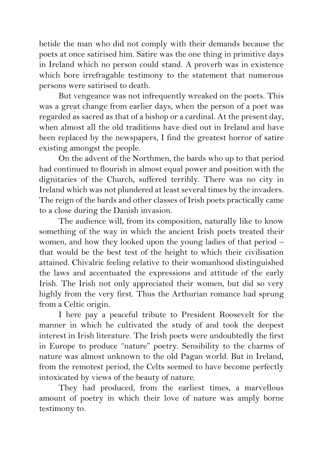betide the man who did not comply with their demands because the poets at once satirised him. Satire was the one thing in primitive days in Ireland which no person could stand. A proverb was in existence which bore irrefragable testimony to the statement that numerous persons were satirised to death.

But vengeance was not infrequently wreaked on the poets. This was a great change from earlier days, when the person of a poet was regarded as sacred as that of a bishop or a cardinal. At the present day, when almost all the old traditions have died out in Ireland and have been replaced by the newspapers, I find the greatest horror of satire existing amongst the people.

On the advent of the Northmen, the bards who up to that period had continued to flourish in almost equal power and position with the dignitaries of the Church, suffered terribly. There was no city in Ireland which was not plundered at least several times by the invaders. The reign of the bards and other classes of Irish poets practically came to a close during the Danish invasion.

The audience will, from its composition, naturally like to know something of the way in which the ancient Irish poets treated their women, and how they looked upon the young ladies of that period – that would be the best test of the height to which their civilisation attained. Chivalric feeling relative to their womanhood distinguished the laws and accentuated the expressions and attitude of the early Irish. The Irish not only appreciated their women, but did so very highly from the very first. Thus the Arthurian romance had sprung from a Celtic origin.

I here pay a peaceful tribute to President Roosevelt for the manner in which he cultivated the study of and took the deepest interest in Irish literature. The Irish poets were undoubtedly the first in Europe to produce "nature" poetry. Sensibility to the charms of nature was almost unknown to the old Pagan world. But in Ireland, from the remotest period, the Celts seemed to have become perfectly intoxicated by views of the beauty of nature.

They had produced, from the earliest times, a marvellous amount of poetry in which their love of nature was amply borne testimony to.